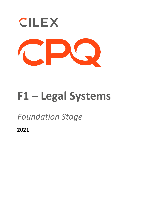

# **F1 – Legal Systems**

## *Foundation Stage*

**2021**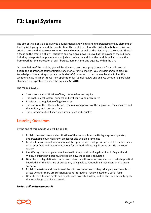## **F1: Legal Systems**

The aim of this module is to give you a fundamental knowledge and understanding of key elements of the English legal system and the constitution. The module explores the distinction between civil and criminal law and that between common law and equity, as well as the hierarchy of the courts. There is a focus on the creation of law, legislative and executive powers as well as the power of the judiciary, including interpretation, precedent, and judicial review. In addition, the module will introduce the framework for the protection of civil liberties, human rights and equality within the UK.

On completion of the module, you will be able to assess the appropriate track for a civil case and decide the appropriate court of first instance for a criminal matter. You will demonstrate practical knowledge of the most appropriate method of ADR based on circumstances, be able to identify whether a case has merit to warrant application for judicial review and analyse whether a particular characteristic is protected under the Equality Act 2010.

The module covers:

- Structure and classification of law; common law and equity
- The English legal system; criminal and civil courts and procedures
- Provision and regulation of legal services
- The nature of the UK constitution the roles and powers of the legislature, the executive and the judiciary and sources of law
- The protection of civil liberties, human rights and equality

### **Learning Outcomes**

By the end of this module you will be able to:

- 1. Explain the structure and classification of the law and how the UK legal system operates, understanding court hierarchy, objectives and available remedies
- 2. Be able to make sound assessments of the appropriate court, procedures and remedies based on a set of facts and recommendations for methods of settling disputes outside the court system
- 3. Identify key roles and personnel involved in the provision of legal services in England and Wales, including lay persons, and explain how the sector is regulated
- 4. Describe how legislation is created and interacts with common law, and demonstrate practical knowledge of the doctrine of precedent, being able to rationalise a case decision in a given scenario
- 5. Explain the nature and structure of the UK constitution and its key principles, and be able to assess whether there are sufficient grounds for judicial review based on a set of facts
- 6. Describe how human rights and equality are protected in law, and be able to practically apply this knowledge to a given scenario

#### *Linked online assessment: F1*

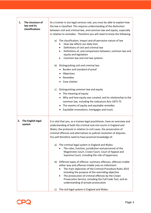| 1.<br>The structure of<br>law and its<br>classifications | As a trainee in any legal services role, you must be able to explain how<br>the law is classified. This requires understanding of the distinction<br>between civil and criminal law, and common law and equity, especially<br>in relation to remedies. Therefore you will need to know the following:<br>The classification, impact and all-pervasive nature of law<br>a)<br>How law affects our daily lives<br>Definitions of civil and criminal law<br>Definitions of, and comparisons between, common law and<br>$\bullet$<br>equity and legislation<br>Common law and civil law systems<br>b) Distinguishing civil and criminal law<br>Burden and standard of proof<br>Objectives<br>٠<br>Remedies<br>Case citation<br>Distinguishing common law and equity<br>c)<br>• The meaning of equity<br>Why and how equity was created, and its relationship to the<br>common law, including the Judicature Acts 1873-75<br>The maxims of equity and equitable remedies<br>Equitable innovations; mortgages and trusts                                                     |
|----------------------------------------------------------|------------------------------------------------------------------------------------------------------------------------------------------------------------------------------------------------------------------------------------------------------------------------------------------------------------------------------------------------------------------------------------------------------------------------------------------------------------------------------------------------------------------------------------------------------------------------------------------------------------------------------------------------------------------------------------------------------------------------------------------------------------------------------------------------------------------------------------------------------------------------------------------------------------------------------------------------------------------------------------------------------------------------------------------------------------------------|
| The English legal<br>2.<br>system                        | It is vital that you, as a trainee legal practitioner, have an overview and<br>understanding of both the criminal and civil courts in England and<br>Wales; the protocols in relation to civil cases, the prosecution of<br>criminal offences and alternatives to judicial resolution of disputes.<br>You will therefore need to have practical knowledge of:<br>The criminal legal system in England and Wales:<br>a)<br>The roles, function, jurisdiction and personnel of the<br>Magistrates Court, Crown Court, Court of Appeal and<br>Supreme Court, including the role of laypersons<br>Different types of offence: summary offences, offences triable<br>b)<br>either way and offences triable only on indictment<br>The main objectives of the Criminal Procedure Rules 2015<br>including the purpose of the overriding objective<br>The prosecution of criminal offences by the Crown<br>$\bullet$<br>Prosecution Service, including the Full Code Test, and an<br>understanding of private prosecution<br>The civil legal system in England and Wales:<br>c) |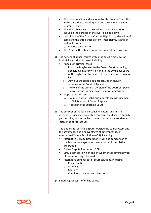| The roles, function and personnel of the County Court, the<br>$\bullet$<br>High Court, the Court of Appeal and the United Kingdom<br>Supreme Court<br>The main objectives of the Civil Procedure Rules 1998<br>$\bullet$<br>including the purpose of the overriding objective<br>Jurisdiction of the County Court or High Court; allocation of<br>$\bullet$<br>cases and the three-track system (small claims, fast track<br>and multi-track<br>Practice direction 26<br>$\circ$<br>The Practice Direction - Pre-action conduct and protocols<br>$\bullet$                                                                                                                                                                                                   |
|--------------------------------------------------------------------------------------------------------------------------------------------------------------------------------------------------------------------------------------------------------------------------------------------------------------------------------------------------------------------------------------------------------------------------------------------------------------------------------------------------------------------------------------------------------------------------------------------------------------------------------------------------------------------------------------------------------------------------------------------------------------|
| The system of appeal routes within the court hierarchy, for<br>d)<br>both civil and criminal cases, including:<br>Appeals in criminal cases<br>From the Magistrates to the Crown Court, including<br>$\circ$<br>appeals against conviction and to the Divisional Court<br>of the High Court by means of case stated on a point of<br>law<br>Crown Court appeals against conviction and/or<br>$\circ$<br>sentence to the Court of Appeal<br>The role of the Criminal Division of the Court of Appeal<br>$\circ$<br>The role of the Criminal Cases Review Commission<br>$\circ$<br>Appeals in civil cases<br>County Court or High Court appeals against Judgment<br>$\circ$<br>to Civil Division of Court of Appeal<br>Appeals to the Supreme Court<br>$\circ$ |
| The concept of the legal personality; natural and juristic<br>e)<br>persons, including incorporated companies and limited liability<br>partnerships, and examples of when it may be appropriate to<br>'pierce the corporate veil'                                                                                                                                                                                                                                                                                                                                                                                                                                                                                                                            |
| The options for settling disputes outside the court system and<br>f)<br>the advantages and disadvantages of different types of<br>Alternative Dispute Resolution (ADR), including:<br>Alternative Dispute Resolution (ADR) and comparison of<br>the features of negotiation, mediation and conciliation,<br>arbitration<br>Online Dispute Resolution (ODR)<br>٠<br>Circumstances in which and by whom these different types<br>$\bullet$<br>of resolution might be used<br>Alternative criminal out of court solutions, including:<br>$\bullet$<br>Penalty notices<br>$\circ$<br>Warnings<br>$\circ$<br>Cautions<br>$\circ$<br>Conditional caution and diversion<br>$\circ$                                                                                  |
| Emerging concepts of online courts<br>g)                                                                                                                                                                                                                                                                                                                                                                                                                                                                                                                                                                                                                                                                                                                     |
|                                                                                                                                                                                                                                                                                                                                                                                                                                                                                                                                                                                                                                                                                                                                                              |

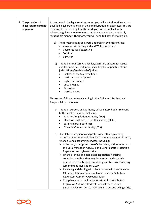| 3. The provision of<br>legal services and its<br>regulation | As a trainee in the legal services sector, you will work alongside various<br>qualified legal professionals in the administration of legal cases. You are<br>responsible for ensuring that the work you do is compliant with<br>relevant regulatory requirements, and that you work in an ethically<br>responsible manner. Therefore, you will need to know the following:<br>The formal training and work undertaken by different legal<br>a)<br>professionals within England and Wales, including:<br>Chartered legal executive<br>Solicitor<br>Barrister<br>$\bullet$                                                                                                                                                                                                                                                                                                                                                |
|-------------------------------------------------------------|-------------------------------------------------------------------------------------------------------------------------------------------------------------------------------------------------------------------------------------------------------------------------------------------------------------------------------------------------------------------------------------------------------------------------------------------------------------------------------------------------------------------------------------------------------------------------------------------------------------------------------------------------------------------------------------------------------------------------------------------------------------------------------------------------------------------------------------------------------------------------------------------------------------------------|
|                                                             | b) The role of the Lord Chancellor/Secretary of State for justice<br>and the main types of judge, including the appointment and<br>jurisdiction of each level of judge:<br>Justices of the Supreme Court<br>$\bullet$<br>Lords Justices of Appeal<br>$\bullet$<br><b>High Court Judges</b><br>$\bullet$<br>Circuit judges<br>٠<br>Recorders<br>District judges<br>٠                                                                                                                                                                                                                                                                                                                                                                                                                                                                                                                                                     |
|                                                             | This section follows on from learning in the Ethics and Professional<br>Responsibility 1. module:                                                                                                                                                                                                                                                                                                                                                                                                                                                                                                                                                                                                                                                                                                                                                                                                                       |
|                                                             | c) The role, purpose and authority of regulatory bodies relevant<br>to the legal profession, including:<br><b>Solicitors Regulation Authority (SRA)</b><br>٠<br>Chartered Institute of Legal Executives (CILEx)<br>$\bullet$<br>Bar Standards Board (BSB)<br>$\bullet$<br><b>Financial Conduct Authority (FCA)</b>                                                                                                                                                                                                                                                                                                                                                                                                                                                                                                                                                                                                      |
|                                                             | Regulatory safeguards and professional ethics governing<br>d)<br>professional services and client/customer engagement in legal,<br>financial, and accounting services, including:<br>Collection, storage and use of client data, with reference to<br>the Data Protection Act 2018 and General Data Protection<br>Regulation and cybersecurity<br>Financial crime and associated legislation including<br>compliance with anti-money laundering guidance, with<br>reference to the Money Laundering and Terrorist Financing<br>(amendment) Regulations 2019<br>Receiving and dealing with client money with reference to<br>CILEx Regulation accounts outcomes and the Solicitors<br><b>Regulatory Authority Accounts Rules</b><br>Compliance with the Principles set out in the Solicitors<br>Regulation Authority Code of Conduct for Solicitors,<br>particularly in relation to maintaining trust and acting fairly, |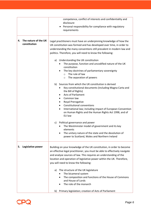|    |                                      | competence, conflict of interests and confidentiality and<br>disclosure<br>Personal responsibility for compliance with regulatory<br>requirements                                                                                                                                                                                                                                         |
|----|--------------------------------------|-------------------------------------------------------------------------------------------------------------------------------------------------------------------------------------------------------------------------------------------------------------------------------------------------------------------------------------------------------------------------------------------|
| 4. | The nature of the UK<br>constitution | Legal practitioners must have an underpinning knowledge of how the<br>UK constitution was formed and has developed over time, in order to<br>understanding the many conventions still prevalent in modern law and<br>politics. Therefore, you will need to know the following:                                                                                                            |
|    |                                      | a) Understanding the UK constitution<br>The purpose, function and uncodified nature of the UK<br>constitution<br>The key doctrines of parliamentary sovereignty<br>The rule of law<br>$\circ$<br>The separation of powers<br>$\circ$                                                                                                                                                      |
|    |                                      | b) Sources from which the UK constitution is derived<br>Key constitutional documents (including Magna Carta and<br>the Bill of Rights)<br><b>Acts of Parliament</b><br>Common law<br>Royal Prerogative<br><b>Constitutional conventions</b><br>International law; including impact of European Convention<br>$\bullet$<br>on Human Rights and the Human Rights Act 1998, and of<br>EU law |
|    |                                      | Political governance and power<br>C)<br>The Westminster model of government and its key<br>elements<br>The unitary nature of the state and the devolution of<br>power to Scotland, Wales and Northern Ireland                                                                                                                                                                             |
| 5. | Legislative power                    | Building on your knowledge of the UK constitution, in order to become<br>an effective legal practitioner, you must be able to effectively navigate<br>and analyse sources of law. This requires an understanding of the<br>location and operation of legislative power within the UK. Therefore,<br>you will need to know the following:                                                  |
|    |                                      | a) The structure of the UK legislature<br>The bicameral system<br>The composition and functions of the House of Commons<br>٠<br>and House of Lords<br>The role of the monarch                                                                                                                                                                                                             |
|    |                                      | Primary legislation; creation of Acts of Parliament<br>b)                                                                                                                                                                                                                                                                                                                                 |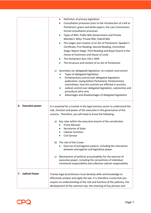|                              | ٠                                                                                                                                                                                                                                                                                                                                                                                                                                                                                                                                                                                                                                                                                                                                                                                                      |
|------------------------------|--------------------------------------------------------------------------------------------------------------------------------------------------------------------------------------------------------------------------------------------------------------------------------------------------------------------------------------------------------------------------------------------------------------------------------------------------------------------------------------------------------------------------------------------------------------------------------------------------------------------------------------------------------------------------------------------------------------------------------------------------------------------------------------------------------|
|                              | Definition of primary legislation<br>Consultation processes prior to the introduction of a bill to<br>Parliament: green and white papers; the Law Commission;<br>formal consultation processes<br>Types of Bills: Public Bills (Government and Private<br>٠<br>Members' Bills); Private Bills; Hybrid Bills<br>The stages and creation of an Act of Parliament: Speaker's<br>$\bullet$<br>Certificate; First Reading; Second Reading; Committee<br>Stage; Report Stage; Third Reading and Royal Assent in the<br>House of Commons and House of Lords<br>The Parliament Acts 1911-1949<br>The Structure and content of an Act of Parliament<br>c) Secondary (or delegated) legislation, its creation and control<br>Types of delegated legislation<br>Parliamentary control over delegated legislation: |
|                              | publication, laying before Parliament; Parliamentary<br>committees; how the controls are effected in practice.<br>Judicial control over delegated legislation; substantive and<br>procedural ultra vires<br>Advantages and disadvantages of delegated legislation                                                                                                                                                                                                                                                                                                                                                                                                                                                                                                                                      |
| <b>Executive power</b><br>6. | It is essential for a trainee in the legal services sector to understand the<br>role, function and power of the executive in the governance of the<br>country. Therefore, you will need to know the following:                                                                                                                                                                                                                                                                                                                                                                                                                                                                                                                                                                                         |
|                              | Key roles within the executive branch of the constitution<br>a)<br><b>Prime Minister</b><br>Secretaries of State<br>Cabinet ministers<br>Civil Service                                                                                                                                                                                                                                                                                                                                                                                                                                                                                                                                                                                                                                                 |
|                              | The role of the Crown<br>b)<br>Exercise of prerogative powers, including the interaction<br>between prerogative and legislative power                                                                                                                                                                                                                                                                                                                                                                                                                                                                                                                                                                                                                                                                  |
|                              | Mechanisms of political accountability for the exercise of<br>C)<br>executive power, including the conventions of individual<br>ministerial responsibility and collective cabinet responsibility                                                                                                                                                                                                                                                                                                                                                                                                                                                                                                                                                                                                       |
| <b>Judicial Power</b><br>7.  | Trainee legal practitioners must develop skills and knowledge to<br>effectively analyse and apply the law. It is therefore crucial that you<br>acquire an understanding of the role and function of the judiciary, the<br>development of the common law, the meaning of key phrases and                                                                                                                                                                                                                                                                                                                                                                                                                                                                                                                |
|                              |                                                                                                                                                                                                                                                                                                                                                                                                                                                                                                                                                                                                                                                                                                                                                                                                        |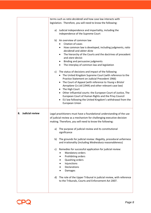|                              | terms such as ratio decidendi and how case law interacts with                                                                                 |
|------------------------------|-----------------------------------------------------------------------------------------------------------------------------------------------|
|                              | legislation. Therefore, you will need to know the following:                                                                                  |
|                              |                                                                                                                                               |
|                              | Judicial independence and impartiality, including the<br>a)                                                                                   |
|                              | independence of the Supreme Court                                                                                                             |
|                              | b) An overview of common law                                                                                                                  |
|                              | Citation of cases                                                                                                                             |
|                              | How common law is developed, including judgments, ratio<br>$\bullet$<br>decidendi and obiter dicta                                            |
|                              | The hierarchy of the Courts and the doctrines of precedent<br>$\bullet$<br>and stare decisis                                                  |
|                              | Binding and persuasive judgments                                                                                                              |
|                              | The interplay of common law and legislation<br>$\bullet$                                                                                      |
|                              | c) The status of decisions and impact of the following                                                                                        |
|                              | The United Kingdom Supreme Court (with reference to the                                                                                       |
|                              | Practice Statement on Judicial Precedent 1966)                                                                                                |
|                              | • The Court of Appeal (with reference to Young v Bristol<br>Aeroplane Co Ltd (1944) and other relevant case law)                              |
|                              | • The High Court                                                                                                                              |
|                              | Other influential courts: the European Court of Justice, The                                                                                  |
|                              | European Court of Human Rights and the Privy Council                                                                                          |
|                              | EU law following the United Kingdom's withdrawal from the                                                                                     |
|                              | <b>European Union</b>                                                                                                                         |
| <b>Judicial review</b><br>8. |                                                                                                                                               |
|                              | Legal practitioners must have a foundational understanding of the use<br>of judicial review as a mechanism for challenging executive decision |
|                              | making. Therefore, you will need to know the following:                                                                                       |
|                              | a) The purpose of judicial review and its constitutional<br>significance                                                                      |
|                              |                                                                                                                                               |
|                              | The grounds for judicial review: illegality, procedural unfairness<br>b)<br>and irrationality (including Wednesbury reasonableness)           |
|                              | Remedies for successful application for judicial review:<br>c)<br>Mandatory orders                                                            |
|                              | Prohibiting orders                                                                                                                            |
|                              | Quashing orders                                                                                                                               |
|                              | Injunctions                                                                                                                                   |
|                              | Declarations                                                                                                                                  |
|                              | <b>Damages</b>                                                                                                                                |
|                              | The role of the Upper Tribunal in judicial review, with reference<br>d)<br>to the Tribunals, Courts and Enforcement Act 2007.                 |